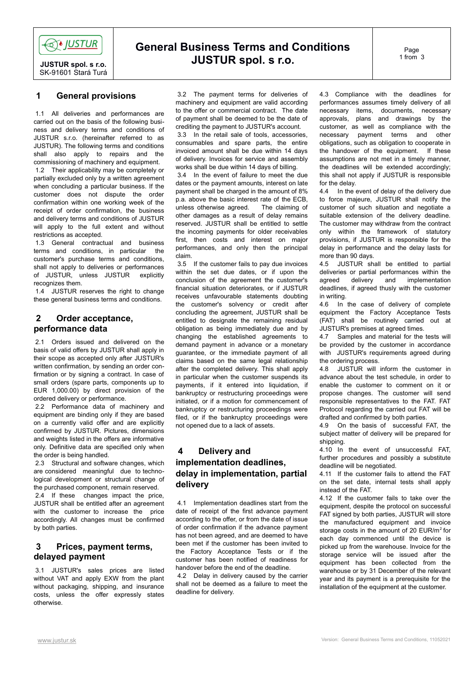**OO**O IUSTUR

**JUSTUR spol. s r.o.** SK-91601 Stará Turá

# **General Business Terms and Conditions JUSTUR spol. s r.o.**

Page 1 from 3

#### **1 General provisions**

 1.1 All deliveries and performances are carried out on the basis of the following business and delivery terms and conditions of JUSTUR s.r.o. (hereinafter referred to as JUSTUR). The following terms and conditions shall also apply to repairs and the commissioning of machinery and equipment.

 1.2 Their applicability may be completely or partially excluded only by a written agreement when concluding a particular business. If the customer does not dispute the order confirmation within one working week of the receipt of order confirmation, the business and delivery terms and conditions of JUSTUR will apply to the full extent and without restrictions as accepted.

 1.3 General contractual and business terms and conditions, in particular the customer's purchase terms and conditions, shall not apply to deliveries or performances of JUSTUR, unless JUSTUR explicitly recognizes them.

 1.4 JUSTUR reserves the right to change these general business terms and conditions.

# **2 Order acceptance, performance data**

 2.1 Orders issued and delivered on the basis of valid offers by JUSTUR shall apply in their scope as accepted only after JUSTUR's written confirmation, by sending an order confirmation or by signing a contract. In case of small orders (spare parts, components up to EUR 1,000.00) by direct provision of the ordered delivery or performance.

 2.2 Performance data of machinery and equipment are binding only if they are based on a currently valid offer and are explicitly confirmed by JUSTUR. Pictures, dimensions and weights listed in the offers are informative only. Definitive data are specified only when the order is being handled.

2.3 Structural and software changes, which are considered meaningful due to technological development or structural change of the purchased component, remain reserved.

2.4 If these changes impact the price, JUSTUR shall be entitled after an agreement with the customer to increase the price accordingly. All changes must be confirmed by both parties.

# **3 Prices, payment terms, delayed payment**

 3.1 JUSTUR's sales prices are listed without VAT and apply EXW from the plant without packaging, shipping, and insurance costs, unless the offer expressly states otherwise.

 3.2 The payment terms for deliveries of machinery and equipment are valid according to the offer or commercial contract. The date of payment shall be deemed to be the date of crediting the payment to JUSTUR's account.

 3.3 In the retail sale of tools, accessories, consumables and spare parts, the entire invoiced amount shall be due within 14 days of delivery. Invoices for service and assembly works shall be due within 14 days of billing.

 3.4 In the event of failure to meet the due dates or the payment amounts, interest on late payment shall be charged in the amount of 8% p.a. above the basic interest rate of the ECB, unless otherwise agreed. The claiming of other damages as a result of delay remains reserved. JUSTUR shall be entitled to settle the incoming payments for older receivables first, then costs and interest on major performances, and only then the principal claim.

 3.5 If the customer fails to pay due invoices within the set due dates, or if upon the conclusion of the agreement the customer's financial situation deteriorates, or if JUSTUR receives unfavourable statements doubting the customer's solvency or credit after concluding the agreement, JUSTUR shall be entitled to designate the remaining residual obligation as being immediately due and by changing the established agreements to demand payment in advance or a monetary guarantee, or the immediate payment of all claims based on the same legal relationship after the completed delivery. This shall apply in particular when the customer suspends its payments, if it entered into liquidation, if bankruptcy or restructuring proceedings were initiated, or if a motion for commencement of bankruptcy or restructuring proceedings were filed, or if the bankruptcy proceedings were not opened due to a lack of assets.

# **4 Delivery and implementation deadlines, delay in implementation, partial delivery**

 4.1 Implementation deadlines start from the date of receipt of the first advance payment according to the offer, or from the date of issue of order confirmation if the advance payment has not been agreed, and are deemed to have been met if the customer has been invited to the Factory Acceptance Tests or if the customer has been notified of readiness for handover before the end of the deadline.

 4.2 Delay in delivery caused by the carrier shall not be deemed as a failure to meet the deadline for delivery.

4.3 Compliance with the deadlines for performances assumes timely delivery of all necessary items, documents, necessary approvals, plans and drawings by the customer, as well as compliance with the necessary payment terms and other obligations, such as obligation to cooperate in the handover of the equipment. If these assumptions are not met in a timely manner, the deadlines will be extended accordingly; this shall not apply if JUSTUR is responsible for the delay.

4.4 In the event of delay of the delivery due to force majeure, JUSTUR shall notify the customer of such situation and negotiate a suitable extension of the delivery deadline. The customer may withdraw from the contract only within the framework of statutory provisions, if JUSTUR is responsible for the delay in performance and the delay lasts for more than 90 days.

4.5 JUSTUR shall be entitled to partial deliveries or partial performances within the agreed delivery and implementation deadlines, if agreed thusly with the customer in writing.

4.6 In the case of delivery of complete equipment the Factory Acceptance Tests (FAT) shall be routinely carried out at JUSTUR's premises at agreed times.

4.7 Samples and material for the tests will be provided by the customer in accordance with JUSTUR's requirements agreed during the ordering process.

4.8 JUSTUR will inform the customer in advance about the test schedule, in order to enable the customer to comment on it or propose changes. The customer will send responsible representatives to the FAT. FAT Protocol regarding the carried out FAT will be drafted and confirmed by both parties.

4.9 On the basis of successful FAT, the subject matter of delivery will be prepared for shipping.

4.10 In the event of unsuccessful FAT, further procedures and possibly a substitute deadline will be negotiated.

4.11 If the customer fails to attend the FAT on the set date, internal tests shall apply instead of the FAT.

4.12 If the customer fails to take over the equipment, despite the protocol on successful FAT signed by both parties, JUSTUR will store the manufactured equipment and invoice storage costs in the amount of 20 EUR/m<sup>2</sup> for each day commenced until the device is picked up from the warehouse. Invoice for the storage service will be issued after the equipment has been collected from the warehouse or by 31 December of the relevant year and its payment is a prerequisite for the installation of the equipment at the customer.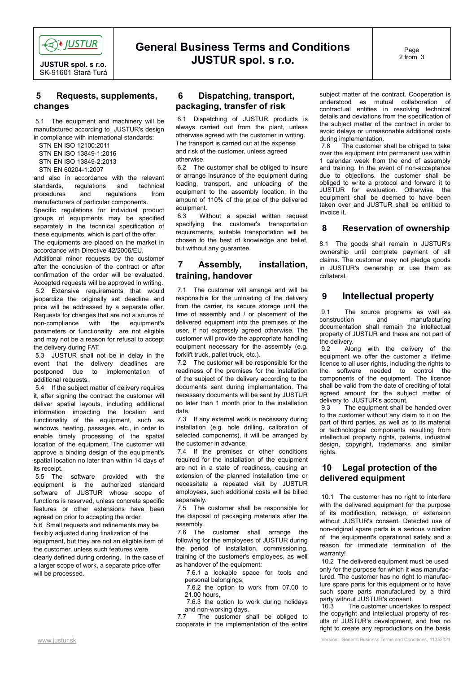

**JUSTUR spol. s r.o.** SK-91601 Stará Turá

# **General Business Terms and Conditions JUSTUR spol. s r.o.**

#### **5 Requests, supplements, changes**

 5.1 The equipment and machinery will be manufactured according to JUSTUR's design in compliance with international standards:

STN EN ISO 12100:2011

 STN EN ISO 13849-1:2016 STN EN ISO 13849-2:2013

STN EN 60204-1:2007

and also in accordance with the relevant standards, regulations and technical procedures and regulations from manufacturers of particular components. Specific regulations for individual product groups of equipments may be specified separately in the technical specification of

these equipments, which is part of the offer. The equipments are placed on the market in

accordance with Directive 42/2006/EU. Additional minor requests by the customer

after the conclusion of the contract or after confirmation of the order will be evaluated. Accepted requests will be approved in writing. 5.2 Extensive requirements that would jeopardize the originally set deadline and price will be addressed by a separate offer. Requests for changes that are not a source of non-compliance with the equipment's parameters or functionality are not eligible and may not be a reason for refusal to accept the delivery during FAT.

 5.3 JUSTUR shall not be in delay in the event that the delivery deadlines are postponed due to implementation of additional requests.

 5.4 If the subject matter of delivery requires it, after signing the contract the customer will deliver spatial layouts, including additional information impacting the location and functionality of the equipment, such as windows, heating, passages, etc., in order to enable timely processing of the spatial location of the equipment. The customer will approve a binding design of the equipment's spatial location no later than within 14 days of its receipt.

 5.5 The software provided with the equipment is the authorized standard software of JUSTUR whose scope of functions is reserved, unless concrete specific features or other extensions have been agreed on prior to accepting the order. 5.6 Small requests and refinements may be flexibly adjusted during finalization of the equipment, but they are not an eligible item of the customer, unless such features were clearly defined during ordering. In the case of

a larger scope of work, a separate price offer will be processed.

# **6 Dispatching, transport, packaging, transfer of risk**

 6.1 Dispatching of JUSTUR products is always carried out from the plant, unless otherwise agreed with the customer in writing. The transport is carried out at the expense and risk of the customer, unless agreed otherwise.

 6.2 The customer shall be obliged to insure or arrange insurance of the equipment during loading, transport, and unloading of the equipment to the assembly location, in the amount of 110% of the price of the delivered equipment.

 6.3 Without a special written request specifying the customer's transportation requirements, suitable transportation will be chosen to the best of knowledge and belief, but without any guarantee.

#### **7 Assembly, installation, training, handover**

 7.1 The customer will arrange and will be responsible for the unloading of the delivery from the carrier, its secure storage until the time of assembly and / or placement of the delivered equipment into the premises of the user, if not expressly agreed otherwise. The customer will provide the appropriate handling equipment necessary for the assembly (e.g. forklift truck, pallet truck, etc.).

 7.2 The customer will be responsible for the readiness of the premises for the installation of the subject of the delivery according to the documents sent during implementation. The necessary documents will be sent by JUSTUR no later than 1 month prior to the installation date.

 7.3 If any external work is necessary during installation (e.g. hole drilling, calibration of selected components), it will be arranged by the customer in advance.

 7.4 If the premises or other conditions required for the installation of the equipment are not in a state of readiness, causing an extension of the planned installation time or necessitate a repeated visit by JUSTUR employees, such additional costs will be billed separately.

 7.5 The customer shall be responsible for the disposal of packaging materials after the assembly.

 7.6 The customer shall arrange the following for the employees of JUSTUR during the period of installation, commissioning, training of the customer's employees, as well as handover of the equipment:

 7.6.1 a lockable space for tools and personal belongings,

 7.6.2 the option to work from 07.00 to 21.00 hours,

 7.6.3 the option to work during holidays and non-working days.<br>7.7 The customer s

The customer shall be obliged to cooperate in the implementation of the entire

subject matter of the contract. Cooperation is understood as mutual collaboration of contractual entities in resolving technical details and deviations from the specification of the subject matter of the contract in order to avoid delays or unreasonable additional costs during implementation.<br>7.8 The customer s

The customer shall be obliged to take over the equipment into permanent use within 1 calendar week from the end of assembly and training. In the event of non-acceptance due to objections, the customer shall be obliged to write a protocol and forward it to JUSTUR for evaluation. Otherwise, the equipment shall be deemed to have been taken over and JUSTUR shall be entitled to invoice it.

# **8 Reservation of ownership**

8.1 The goods shall remain in JUSTUR's ownership until complete payment of all claims. The customer may not pledge goods in JUSTUR's ownership or use them as collateral.

# **9 Intellectual property**

 9.1 The source programs as well as construction and manufacturing documentation shall remain the intellectual property of JUSTUR and these are not part of the delivery.

 9.2 Along with the delivery of the equipment we offer the customer a lifetime licence to all user rights, including the rights to the software needed to control the components of the equipment. The licence shall be valid from the date of crediting of total agreed amount for the subject matter of delivery to JUSTUR's account.

 9.3 The equipment shall be handed over to the customer without any claim to it on the part of third parties, as well as to its material or technological components resulting from intellectual property rights, patents, industrial design, copyright, trademarks and similar rights.

# **10 Legal protection of the delivered equipment**

 10.1 The customer has no right to interfere with the delivered equipment for the purpose of its modification, redesign, or extension without JUSTUR's consent. Detected use of non-original spare parts is a serious violation of the equipment's operational safety and a reason for immediate termination of the warranty!

 10.2 The delivered equipment must be used only for the purpose for which it was manufactured. The customer has no right to manufacture spare parts for this equipment or to have such spare parts manufactured by a third party without JUSTUR's consent.

10.3 The customer undertakes to respect the copyright and intellectual property of results of JUSTUR's development, and has no right to create any reproductions on the basis